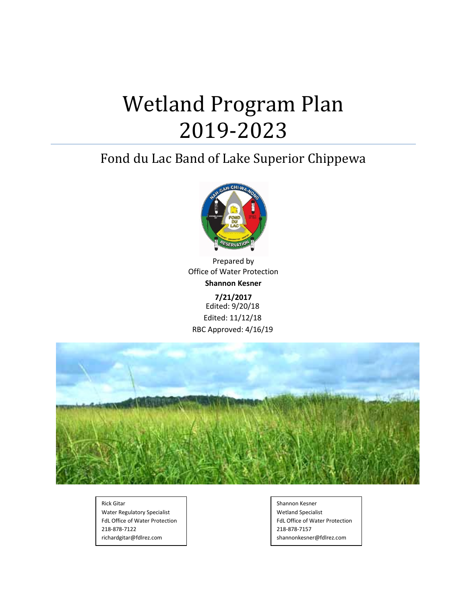# Wetland Program Plan 2019-2023

## Fond du Lac Band of Lake Superior Chippewa



Prepared by Office of Water Protection **Shannon Kesner**

**7/21/2017** Edited: 9/20/18 Edited: 11/12/18 RBC Approved: 4/16/19



Rick Gitar Water Regulatory Specialist FdL Office of Water Protection 218-878-7122 richardgitar@fdlrez.com

Shannon Kesner Wetland Specialist FdL Office of Water Protection 218-878-7157 shannonkesner@fdlrez.com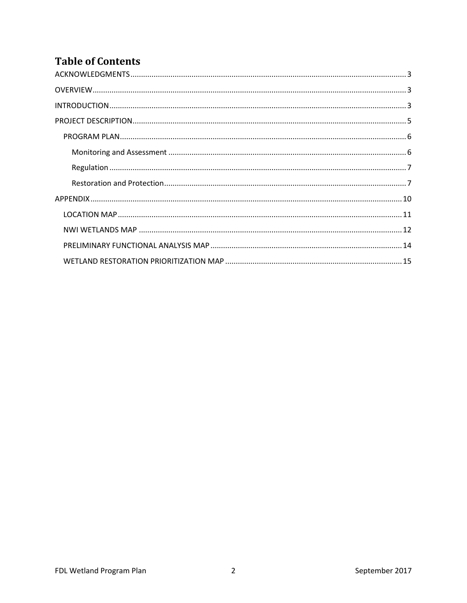## **Table of Contents**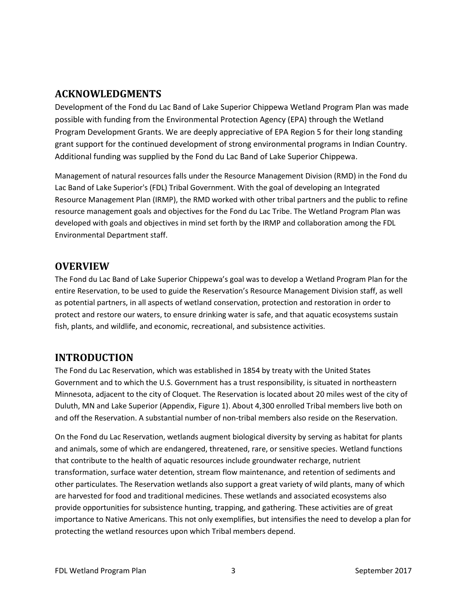## <span id="page-2-0"></span>**ACKNOWLEDGMENTS**

Development of the Fond du Lac Band of Lake Superior Chippewa Wetland Program Plan was made possible with funding from the Environmental Protection Agency (EPA) through the Wetland Program Development Grants. We are deeply appreciative of EPA Region 5 for their long standing grant support for the continued development of strong environmental programs in Indian Country. Additional funding was supplied by the Fond du Lac Band of Lake Superior Chippewa.

Management of natural resources falls under the Resource Management Division (RMD) in the Fond du Lac Band of Lake Superior's (FDL) Tribal Government. With the goal of developing an Integrated Resource Management Plan (IRMP), the RMD worked with other tribal partners and the public to refine resource management goals and objectives for the Fond du Lac Tribe. The Wetland Program Plan was developed with goals and objectives in mind set forth by the IRMP and collaboration among the FDL Environmental Department staff.

## <span id="page-2-1"></span>**OVERVIEW**

The Fond du Lac Band of Lake Superior Chippewa's goal was to develop a Wetland Program Plan for the entire Reservation, to be used to guide the Reservation's Resource Management Division staff, as well as potential partners, in all aspects of wetland conservation, protection and restoration in order to protect and restore our waters, to ensure drinking water is safe, and that aquatic ecosystems sustain fish, plants, and wildlife, and economic, recreational, and subsistence activities.

## <span id="page-2-2"></span>**INTRODUCTION**

The Fond du Lac Reservation, which was established in 1854 by treaty with the United States Government and to which the U.S. Government has a trust responsibility, is situated in northeastern Minnesota, adjacent to the city of Cloquet. The Reservation is located about 20 miles west of the city of Duluth, MN and Lake Superior (Appendix, Figure 1). About 4,300 enrolled Tribal members live both on and off the Reservation. A substantial number of non-tribal members also reside on the Reservation.

On the Fond du Lac Reservation, wetlands augment biological diversity by serving as habitat for plants and animals, some of which are endangered, threatened, rare, or sensitive species. Wetland functions that contribute to the health of aquatic resources include groundwater recharge, nutrient transformation, surface water detention, stream flow maintenance, and retention of sediments and other particulates. The Reservation wetlands also support a great variety of wild plants, many of which are harvested for food and traditional medicines. These wetlands and associated ecosystems also provide opportunities for subsistence hunting, trapping, and gathering. These activities are of great importance to Native Americans. This not only exemplifies, but intensifies the need to develop a plan for protecting the wetland resources upon which Tribal members depend.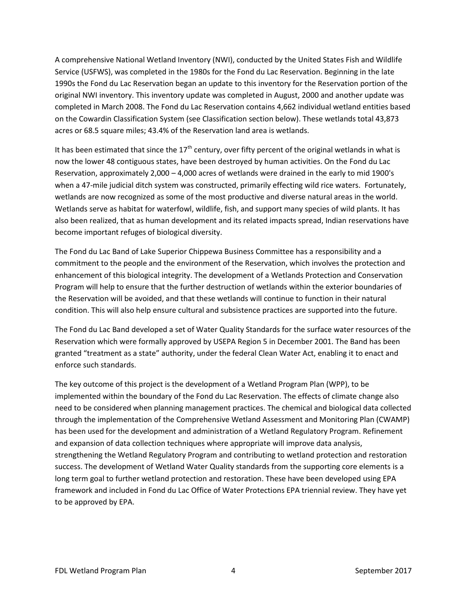A comprehensive National Wetland Inventory (NWI), conducted by the United States Fish and Wildlife Service (USFWS), was completed in the 1980s for the Fond du Lac Reservation. Beginning in the late 1990s the Fond du Lac Reservation began an update to this inventory for the Reservation portion of the original NWI inventory. This inventory update was completed in August, 2000 and another update was completed in March 2008. The Fond du Lac Reservation contains 4,662 individual wetland entities based on the Cowardin Classification System (see Classification section below). These wetlands total 43,873 acres or 68.5 square miles; 43.4% of the Reservation land area is wetlands.

It has been estimated that since the  $17<sup>th</sup>$  century, over fifty percent of the original wetlands in what is now the lower 48 contiguous states, have been destroyed by human activities. On the Fond du Lac Reservation, approximately 2,000 – 4,000 acres of wetlands were drained in the early to mid 1900's when a 47-mile judicial ditch system was constructed, primarily effecting wild rice waters. Fortunately, wetlands are now recognized as some of the most productive and diverse natural areas in the world. Wetlands serve as habitat for waterfowl, wildlife, fish, and support many species of wild plants. It has also been realized, that as human development and its related impacts spread, Indian reservations have become important refuges of biological diversity.

The Fond du Lac Band of Lake Superior Chippewa Business Committee has a responsibility and a commitment to the people and the environment of the Reservation, which involves the protection and enhancement of this biological integrity. The development of a Wetlands Protection and Conservation Program will help to ensure that the further destruction of wetlands within the exterior boundaries of the Reservation will be avoided, and that these wetlands will continue to function in their natural condition. This will also help ensure cultural and subsistence practices are supported into the future.

The Fond du Lac Band developed a set of Water Quality Standards for the surface water resources of the Reservation which were formally approved by USEPA Region 5 in December 2001. The Band has been granted "treatment as a state" authority, under the federal Clean Water Act, enabling it to enact and enforce such standards.

The key outcome of this project is the development of a Wetland Program Plan (WPP), to be implemented within the boundary of the Fond du Lac Reservation. The effects of climate change also need to be considered when planning management practices. The chemical and biological data collected through the implementation of the Comprehensive Wetland Assessment and Monitoring Plan (CWAMP) has been used for the development and administration of a Wetland Regulatory Program. Refinement and expansion of data collection techniques where appropriate will improve data analysis, strengthening the Wetland Regulatory Program and contributing to wetland protection and restoration success. The development of Wetland Water Quality standards from the supporting core elements is a long term goal to further wetland protection and restoration. These have been developed using EPA framework and included in Fond du Lac Office of Water Protections EPA triennial review. They have yet to be approved by EPA.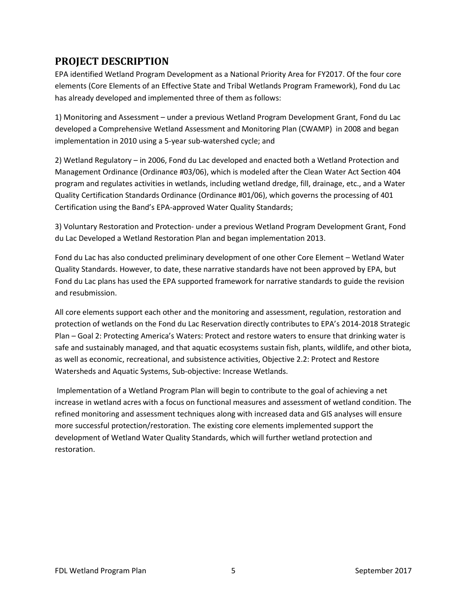## <span id="page-4-0"></span>**PROJECT DESCRIPTION**

EPA identified Wetland Program Development as a National Priority Area for FY2017. Of the four core elements (Core Elements of an Effective State and Tribal Wetlands Program Framework), Fond du Lac has already developed and implemented three of them as follows:

1) Monitoring and Assessment – under a previous Wetland Program Development Grant, Fond du Lac developed a Comprehensive Wetland Assessment and Monitoring Plan (CWAMP) in 2008 and began implementation in 2010 using a 5-year sub-watershed cycle; and

2) Wetland Regulatory – in 2006, Fond du Lac developed and enacted both a Wetland Protection and Management Ordinance (Ordinance #03/06), which is modeled after the Clean Water Act Section 404 program and regulates activities in wetlands, including wetland dredge, fill, drainage, etc., and a Water Quality Certification Standards Ordinance (Ordinance #01/06), which governs the processing of 401 Certification using the Band's EPA-approved Water Quality Standards;

3) Voluntary Restoration and Protection- under a previous Wetland Program Development Grant, Fond du Lac Developed a Wetland Restoration Plan and began implementation 2013.

Fond du Lac has also conducted preliminary development of one other Core Element – Wetland Water Quality Standards. However, to date, these narrative standards have not been approved by EPA, but Fond du Lac plans has used the EPA supported framework for narrative standards to guide the revision and resubmission.

All core elements support each other and the monitoring and assessment, regulation, restoration and protection of wetlands on the Fond du Lac Reservation directly contributes to EPA's 2014-2018 Strategic Plan – Goal 2: Protecting America's Waters: Protect and restore waters to ensure that drinking water is safe and sustainably managed, and that aquatic ecosystems sustain fish, plants, wildlife, and other biota, as well as economic, recreational, and subsistence activities, Objective 2.2: Protect and Restore Watersheds and Aquatic Systems, Sub-objective: Increase Wetlands.

Implementation of a Wetland Program Plan will begin to contribute to the goal of achieving a net increase in wetland acres with a focus on functional measures and assessment of wetland condition. The refined monitoring and assessment techniques along with increased data and GIS analyses will ensure more successful protection/restoration. The existing core elements implemented support the development of Wetland Water Quality Standards, which will further wetland protection and restoration.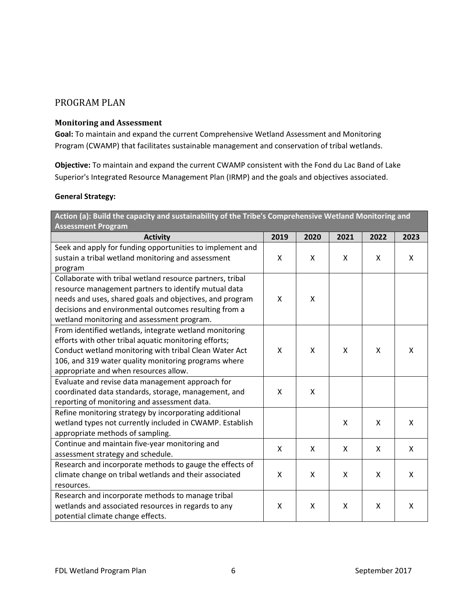### <span id="page-5-0"></span>PROGRAM PLAN

#### <span id="page-5-1"></span>**Monitoring and Assessment**

**Goal:** To maintain and expand the current Comprehensive Wetland Assessment and Monitoring Program (CWAMP) that facilitates sustainable management and conservation of tribal wetlands.

**Objective:** To maintain and expand the current CWAMP consistent with the Fond du Lac Band of Lake Superior's Integrated Resource Management Plan (IRMP) and the goals and objectives associated.

#### **General Strategy:**

| Action (a): Build the capacity and sustainability of the Tribe's Comprehensive Wetland Monitoring and<br><b>Assessment Program</b> |              |      |              |      |      |
|------------------------------------------------------------------------------------------------------------------------------------|--------------|------|--------------|------|------|
| <b>Activity</b>                                                                                                                    | 2019         | 2020 | 2021         | 2022 | 2023 |
| Seek and apply for funding opportunities to implement and                                                                          |              |      |              |      |      |
| sustain a tribal wetland monitoring and assessment                                                                                 | X            | X    | X            | X    | X    |
| program                                                                                                                            |              |      |              |      |      |
| Collaborate with tribal wetland resource partners, tribal                                                                          |              |      |              |      |      |
| resource management partners to identify mutual data                                                                               |              |      |              |      |      |
| needs and uses, shared goals and objectives, and program                                                                           | X            | X    |              |      |      |
| decisions and environmental outcomes resulting from a                                                                              |              |      |              |      |      |
| wetland monitoring and assessment program.                                                                                         |              |      |              |      |      |
| From identified wetlands, integrate wetland monitoring                                                                             |              |      |              |      |      |
| efforts with other tribal aquatic monitoring efforts;                                                                              |              |      |              |      |      |
| Conduct wetland monitoring with tribal Clean Water Act                                                                             | $\mathsf{x}$ | X    | X            | X    | X    |
| 106, and 319 water quality monitoring programs where                                                                               |              |      |              |      |      |
| appropriate and when resources allow.                                                                                              |              |      |              |      |      |
| Evaluate and revise data management approach for                                                                                   |              |      |              |      |      |
| coordinated data standards, storage, management, and                                                                               | $\mathsf{x}$ | X    |              |      |      |
| reporting of monitoring and assessment data.                                                                                       |              |      |              |      |      |
| Refine monitoring strategy by incorporating additional                                                                             |              |      |              |      |      |
| wetland types not currently included in CWAMP. Establish                                                                           |              |      | $\mathsf{X}$ | X    | X    |
| appropriate methods of sampling.                                                                                                   |              |      |              |      |      |
| Continue and maintain five-year monitoring and                                                                                     | X            | X    | X            | X    | X    |
| assessment strategy and schedule.                                                                                                  |              |      |              |      |      |
| Research and incorporate methods to gauge the effects of                                                                           |              |      |              |      |      |
| climate change on tribal wetlands and their associated                                                                             | X            | X    | X            | Χ    | X    |
| resources.                                                                                                                         |              |      |              |      |      |
| Research and incorporate methods to manage tribal                                                                                  |              |      |              |      |      |
| wetlands and associated resources in regards to any                                                                                | X            | X    | X            | X    | X    |
| potential climate change effects.                                                                                                  |              |      |              |      |      |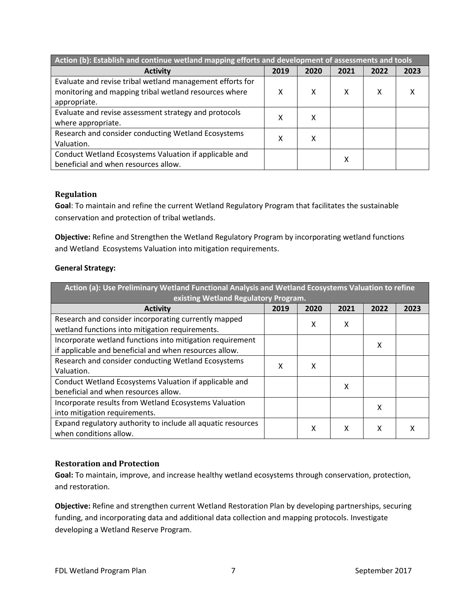| Action (b): Establish and continue wetland mapping efforts and development of assessments and tools |      |        |      |      |      |
|-----------------------------------------------------------------------------------------------------|------|--------|------|------|------|
| <b>Activity</b>                                                                                     | 2019 | 2020   | 2021 | 2022 | 2023 |
| Evaluate and revise tribal wetland management efforts for                                           |      |        |      |      |      |
| monitoring and mapping tribal wetland resources where                                               | x    | x      | х    | х    | χ    |
| appropriate.                                                                                        |      |        |      |      |      |
| Evaluate and revise assessment strategy and protocols                                               |      |        | х    |      |      |
| where appropriate.                                                                                  | χ    |        |      |      |      |
| Research and consider conducting Wetland Ecosystems                                                 |      | x<br>χ |      |      |      |
| Valuation.                                                                                          |      |        |      |      |      |
| Conduct Wetland Ecosystems Valuation if applicable and                                              |      |        |      |      |      |
| beneficial and when resources allow.                                                                |      |        | χ    |      |      |

#### <span id="page-6-0"></span>**Regulation**

**Goal**: To maintain and refine the current Wetland Regulatory Program that facilitates the sustainable conservation and protection of tribal wetlands.

**Objective:** Refine and Strengthen the Wetland Regulatory Program by incorporating wetland functions and Wetland Ecosystems Valuation into mitigation requirements.

#### **General Strategy:**

| Action (a): Use Preliminary Wetland Functional Analysis and Wetland Ecosystems Valuation to refine                  |      |      |      |      |      |
|---------------------------------------------------------------------------------------------------------------------|------|------|------|------|------|
| existing Wetland Regulatory Program.                                                                                |      |      |      |      |      |
| <b>Activity</b>                                                                                                     | 2019 | 2020 | 2021 | 2022 | 2023 |
| Research and consider incorporating currently mapped<br>wetland functions into mitigation requirements.             |      | x    | x    |      |      |
| Incorporate wetland functions into mitigation requirement<br>if applicable and beneficial and when resources allow. |      |      |      | x    |      |
| Research and consider conducting Wetland Ecosystems<br>Valuation.                                                   | x    | x    |      |      |      |
| Conduct Wetland Ecosystems Valuation if applicable and<br>beneficial and when resources allow.                      |      |      | x    |      |      |
| Incorporate results from Wetland Ecosystems Valuation<br>into mitigation requirements.                              |      |      |      | x    |      |
| Expand regulatory authority to include all aquatic resources<br>when conditions allow.                              |      | x    | X    | x    |      |

#### <span id="page-6-1"></span>**Restoration and Protection**

**Goal:** To maintain, improve, and increase healthy wetland ecosystems through conservation, protection, and restoration.

**Objective:** Refine and strengthen current Wetland Restoration Plan by developing partnerships, securing funding, and incorporating data and additional data collection and mapping protocols. Investigate developing a Wetland Reserve Program.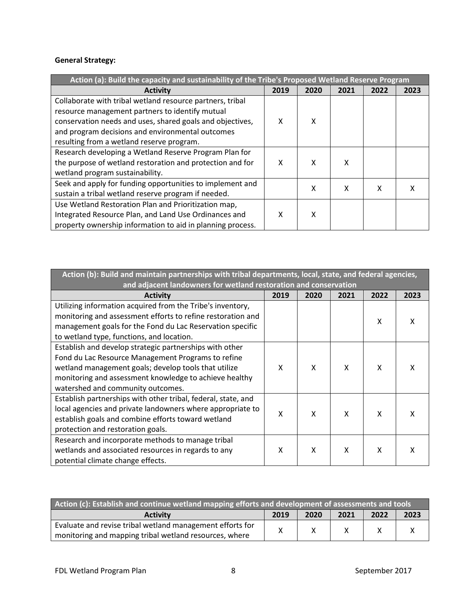#### **General Strategy:**

| Action (a): Build the capacity and sustainability of the Tribe's Proposed Wetland Reserve Program |      |      |      |      |      |
|---------------------------------------------------------------------------------------------------|------|------|------|------|------|
| <b>Activity</b>                                                                                   | 2019 | 2020 | 2021 | 2022 | 2023 |
| Collaborate with tribal wetland resource partners, tribal                                         |      |      |      |      |      |
| resource management partners to identify mutual                                                   |      |      |      |      |      |
| conservation needs and uses, shared goals and objectives,                                         | x    | x    |      |      |      |
| and program decisions and environmental outcomes                                                  |      |      |      |      |      |
| resulting from a wetland reserve program.                                                         |      |      |      |      |      |
| Research developing a Wetland Reserve Program Plan for                                            |      |      |      |      |      |
| the purpose of wetland restoration and protection and for                                         | x    | x    | χ    |      |      |
| wetland program sustainability.                                                                   |      |      |      |      |      |
| Seek and apply for funding opportunities to implement and                                         |      | x    | χ    | x    |      |
| sustain a tribal wetland reserve program if needed.                                               |      |      |      |      |      |
| Use Wetland Restoration Plan and Prioritization map,                                              |      |      |      |      |      |
| Integrated Resource Plan, and Land Use Ordinances and                                             | χ    | χ    |      |      |      |
| property ownership information to aid in planning process.                                        |      |      |      |      |      |

| Action (b): Build and maintain partnerships with tribal departments, local, state, and federal agencies,<br>and adjacent landowners for wetland restoration and conservation |      |      |      |      |      |
|------------------------------------------------------------------------------------------------------------------------------------------------------------------------------|------|------|------|------|------|
| <b>Activity</b>                                                                                                                                                              | 2019 | 2020 | 2021 | 2022 | 2023 |
| Utilizing information acquired from the Tribe's inventory,                                                                                                                   |      |      |      |      |      |
| monitoring and assessment efforts to refine restoration and                                                                                                                  |      |      |      | x    | x    |
| management goals for the Fond du Lac Reservation specific                                                                                                                    |      |      |      |      |      |
| to wetland type, functions, and location.                                                                                                                                    |      |      |      |      |      |
| Establish and develop strategic partnerships with other                                                                                                                      |      |      |      |      |      |
| Fond du Lac Resource Management Programs to refine                                                                                                                           |      |      |      |      |      |
| wetland management goals; develop tools that utilize                                                                                                                         | X    | X    | X    | X    | х    |
| monitoring and assessment knowledge to achieve healthy                                                                                                                       |      |      |      |      |      |
| watershed and community outcomes.                                                                                                                                            |      |      |      |      |      |
| Establish partnerships with other tribal, federal, state, and                                                                                                                |      |      |      |      |      |
| local agencies and private landowners where appropriate to                                                                                                                   |      |      |      | X    |      |
| establish goals and combine efforts toward wetland                                                                                                                           | Χ    | X    | X    |      | x    |
| protection and restoration goals.                                                                                                                                            |      |      |      |      |      |
| Research and incorporate methods to manage tribal                                                                                                                            |      |      |      |      |      |
| wetlands and associated resources in regards to any                                                                                                                          | χ    | X    | x    | x    |      |
| potential climate change effects.                                                                                                                                            |      |      |      |      |      |

| Action (c): Establish and continue wetland mapping efforts and development of assessments and tools |      |      |      |      |      |
|-----------------------------------------------------------------------------------------------------|------|------|------|------|------|
| <b>Activity</b>                                                                                     | 2019 | 2020 | 2021 | 2022 | 2023 |
| Evaluate and revise tribal wetland management efforts for                                           |      |      |      |      |      |
| monitoring and mapping tribal wetland resources, where                                              |      |      |      |      |      |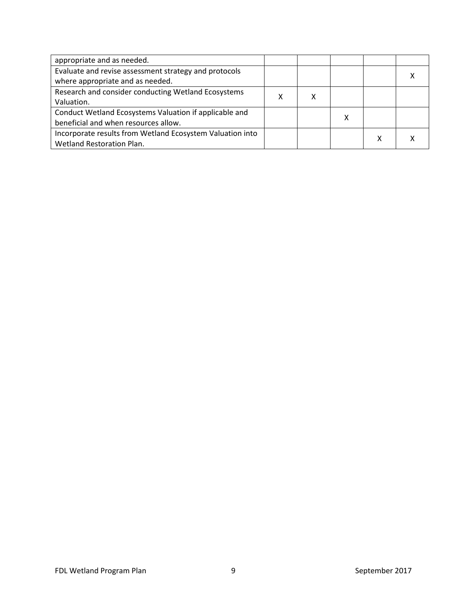| appropriate and as needed.                                |  |   |   |  |
|-----------------------------------------------------------|--|---|---|--|
| Evaluate and revise assessment strategy and protocols     |  |   |   |  |
| where appropriate and as needed.                          |  |   |   |  |
| Research and consider conducting Wetland Ecosystems       |  |   |   |  |
| Valuation.                                                |  |   |   |  |
| Conduct Wetland Ecosystems Valuation if applicable and    |  | х |   |  |
| beneficial and when resources allow.                      |  |   |   |  |
| Incorporate results from Wetland Ecosystem Valuation into |  |   |   |  |
| Wetland Restoration Plan.                                 |  |   | х |  |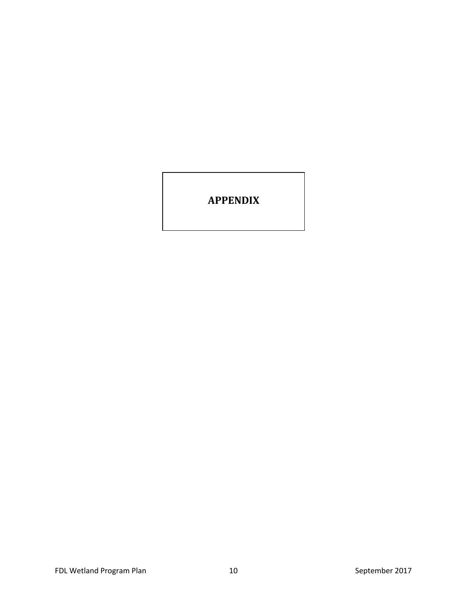## <span id="page-9-0"></span>**APPENDIX**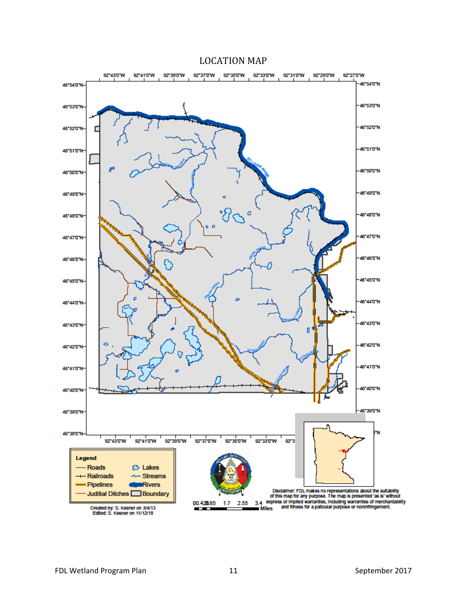#### LOCATION MAP

<span id="page-10-1"></span><span id="page-10-0"></span>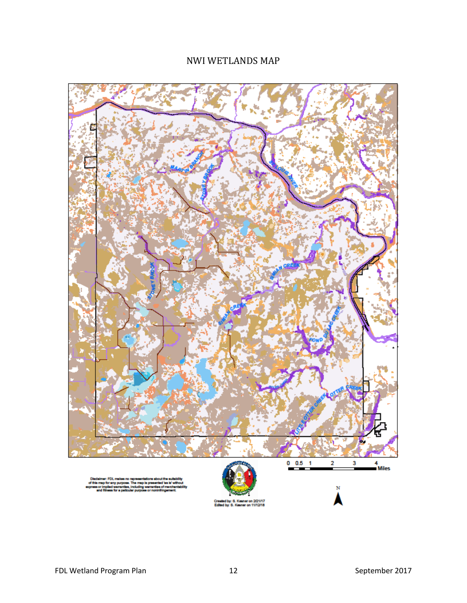## NWI WETLANDS MAP

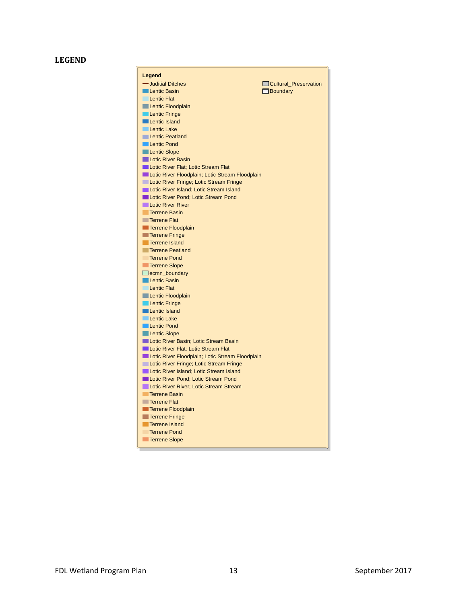#### **LEGEND**

 $\Gamma$ 

| Legend                                                         |                       |
|----------------------------------------------------------------|-----------------------|
| - Juditial Ditches                                             | Cultural Preservation |
| <b>Lentic Basin</b>                                            | $\Box$ Boundary       |
| <b>Lentic Flat</b>                                             |                       |
| Lentic Floodplain                                              |                       |
| Lentic Fringe                                                  |                       |
| <b>Lentic Island</b>                                           |                       |
| <b>Lentic Lake</b>                                             |                       |
| <b>Lentic Peatland</b>                                         |                       |
| <b>Lentic Pond</b>                                             |                       |
| <b>Lentic Slope</b>                                            |                       |
| <b>Lotic River Basin</b>                                       |                       |
| Lotic River Flat; Lotic Stream Flat                            |                       |
| Lotic River Floodplain; Lotic Stream Floodplain                |                       |
| Lotic River Fringe; Lotic Stream Fringe                        |                       |
| Lotic River Island; Lotic Stream Island                        |                       |
| Lotic River Pond; Lotic Stream Pond                            |                       |
| <b>Lotic River River</b>                                       |                       |
| <b>Terrene Basin</b>                                           |                       |
| <b>Terrene Flat</b>                                            |                       |
| Terrene Floodplain                                             |                       |
| <b>Terrene Fringe</b>                                          |                       |
| Terrene Island                                                 |                       |
| <b>Terrene Peatland</b>                                        |                       |
| <b>Terrene Pond</b>                                            |                       |
| Terrene Slope                                                  |                       |
| $\Box$ ecmn_boundary                                           |                       |
| <b>Lentic Basin</b>                                            |                       |
| <b>Lentic Flat</b>                                             |                       |
| Lentic Floodplain                                              |                       |
| <b>Lentic Fringe</b>                                           |                       |
| <b>Lentic Island</b>                                           |                       |
| Lentic Lake                                                    |                       |
| <b>Lentic Pond</b>                                             |                       |
| <b>Lentic Slope</b>                                            |                       |
| Lotic River Basin; Lotic Stream Basin                          |                       |
| Lotic River Flat; Lotic Stream Flat                            |                       |
| Lotic River Floodplain; Lotic Stream Floodplain                |                       |
| Lotic River Fringe; Lotic Stream Fringe                        |                       |
| Lotic River Island; Lotic Stream Island                        |                       |
| Lotic River Pond; Lotic Stream Pond                            |                       |
| Lotic River River; Lotic Stream Stream<br><b>Terrene Basin</b> |                       |
| <b>Terrene Flat</b>                                            |                       |
| Terrene Floodplain                                             |                       |
| Terrene Fringe                                                 |                       |
| Terrene Island                                                 |                       |
| <b>Terrene Pond</b>                                            |                       |
| <b>Terrene Slope</b>                                           |                       |
|                                                                |                       |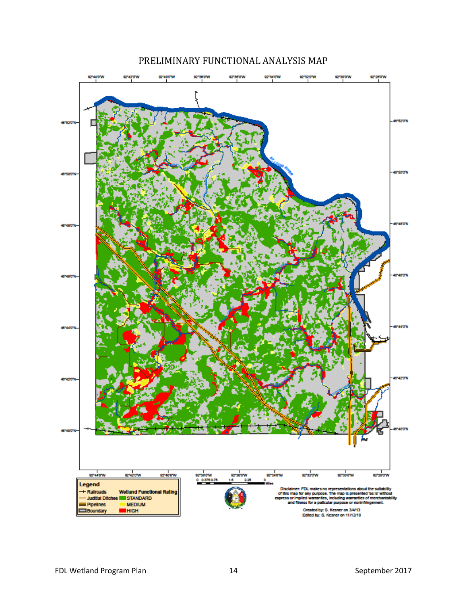<span id="page-13-0"></span>

## PRELIMINARY FUNCTIONAL ANALYSIS MAP